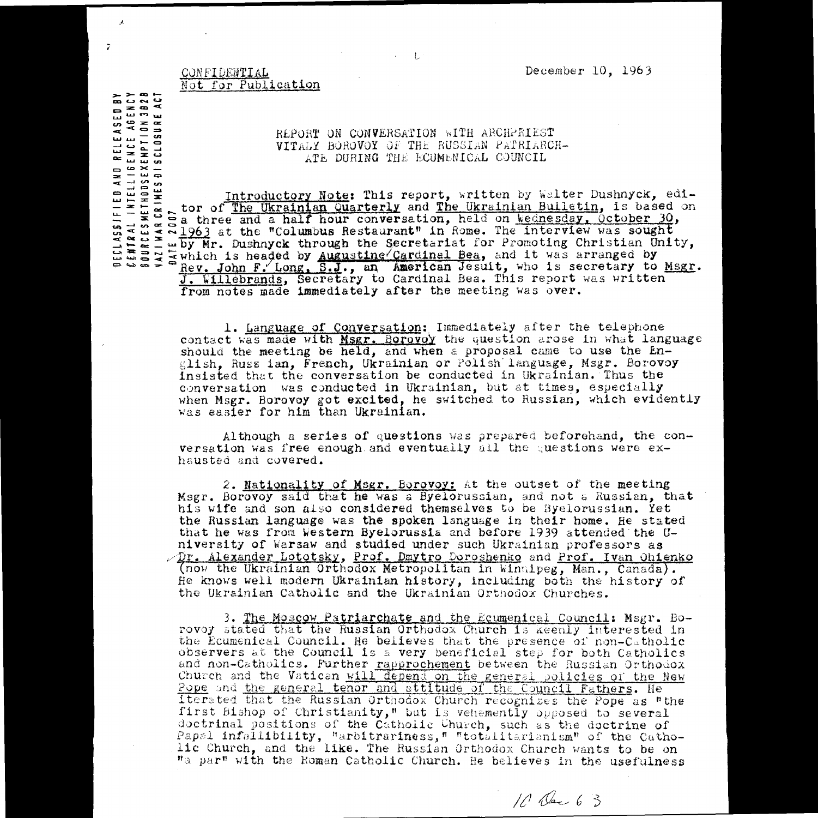December 10, 1963

## CONFIDENTIAL<br>Not for Publi Not for Publication

**CRAN<br>CRABIA<br>LURA<br>LURA<br>LURA** 

 $\overline{z}$ 

RELEASE<br>ENCE ABI<br>ENPTION<br>SCLOSURE

## REPORT ON CONVERSATION WITH ARCHPRIEST VITALY BOROVOY OF THE RUSSIAN PATRIARCH-ATE DURING THE ECUMENICAL COUNCIL

Not for Publication<br>
WITALY BOROWOR OF THE RUSSIAN PATRIARCH-<br>
TITALY BOROWOR OF THE RUSSIAN PATRIARCH-<br>
ATE DURING THE ECUMENICAL COUNCIL<br>
THE CONSIDERED ATE DURING THE ECUMENICAL COUNCIL<br>
The Unit of The Ukrainian Quarte FIED AND<br>- Intellige<br>- Intellige<br>- Antinodsexe<br>- Antines als **Introductory Note: This** report, written *by* 'valter Dushnyck, editor of The **Ukrainian WarterlY and The** Ukrainian Bulletin, *is* based on a three and a half hour conversation, held on Wednesday, October 30, **ere4** 1963 at the "Columbus **Restaurant" in** Rome. The interview was sought  $\leq$  ~1963 at the "Columbus Restaurant" in Rome. The interview was sought<br> $\leq$   $\omega$  by Mr. Dushnyck through the Secretariat for Promoting Christian Unity,  $\alpha$   $\alpha$ **E**which is headed by <u>Augustine</u> Cardinal Bea, and it was arranged by Rev. John F. Long, S.J., an American Jesuit, who is secretary to Msgr. **but** *J.* **Willebrands,** Secretary to Cardinal Bea. This report was written from notes made **immediately** after the meeting was over.

> 1. Language of Conversation: Immediately after the telephone contact was made with *Msgr. Borovoy* the question arose in what language should the meeting be held, and **when** a proposal came to use the English, Russ ian, French, Ukrainian or Polish language, Msgr. Borovoy Insisted that the conversation be conducted in Ukrainian. Thus the conversation was conducted in Ukrainian, but at times, especially when Msgr. Borovoy got excited, he switched to Russian, which evidently was easier for him than Ukrainian.

**Although a series of** questions was prepared beforehand, the conversation was free enough and eventually all the cuestions were exhausted and covered.

2. **Nationallty of Msgr. Berovoy:** kt the outset of the meeting Msgr. Borovoy said that he was a Byelorussian, and not e Russian, that his wife and son also considered **themselves** to be Byelorussian. Yet the Russian language Was **the spoken** language in their home. Be stated that he was from **Western** Byelorussia and before 1939 attended the U**niversity** of Warsaw and studied under such Ukrainian professors as  $\sqrt{D}$ r. Alexander Lototsky, Prof. Dmytro Doroshenko and Prof. Ivan Ohienko (now the Ukrainian Orthodox Metropolitan in Winnipeg, Men., Canada). Be knows well modern Ukrainian history, including both the history of the Ukrainian Catholic and the Ukrainian Orthodox Churches.

3. The Moscow Patriarchate and the Ecumenical Council: Msgr. Borovoy stated that the Russian Orthodox Church is keenly interested in the Ecumenical Council. He believes that the presence of non-Catholic observers at the Council is a very beneficial step for both Catholics and non-Catholics. Further rapprochement between the Russian Orthodox Church and the Vatican will depend on the general policies of the New Pope and the general tenor and attitude of the Council Fathers. He iterated that the Russian Orthodox Church recognizes the Pope as "the first bishop of Christianity," but is vehemently opposed to several doctrinal positions of the Catholic Church, such as the doctrine of Papsl infallibility, "arbitrariness," "totalitarianism" of the Catholic Church, and the like. The Russian Orthodox Church wants to be on "a par" with the Eoman Catholic Church. He believes in the usefulness

10 Dec 6 3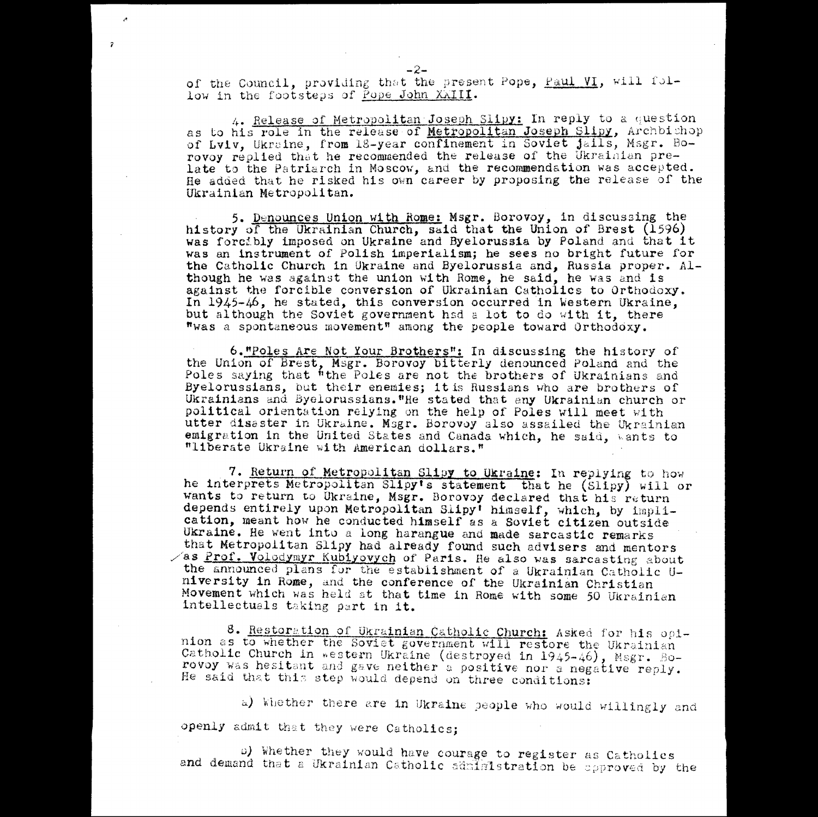of the Council, providing that the present Pope, Paul VI, will follow in the footsteps of Pope John XXIII.

4. Release of Metropolitan Joseph Slipy: In reply to a question as to his role in the release of Metropolitan Joseph Slipy, Archbishop of Lyiv, Ukraine, from 18-year confinement in Soviet jails, Msgr. Borovoy replied that he recommended the release of the Ukrainian prelate to the Patriarch in Moscow, and the recommendation *was* accepted. He added that he risked his own career by proposing the release of the Ukrainian Metropolitan.

5. Denounces Union with Rome: Msgr. Borovoy, in discussing the history of the Ukrainian Church, said that the Union of Brest (1596) was forcibly imposed on Ukraine and Byelorussia by Poland and that it was an instrument *of* Polish imperialism; he sees no bright future for the Catholic Church in Ukraine and Byelorussia and, Russia proper. Although he was against the union with Rome, he said, he was and is against the forcible conversion of Ukrainian Catholics to Orthodoxy. In 1945-46, he stated, this conversion occurred in Western Ukraine, but although the Soviet government had a lot to do with it, there was a spontaneous movement" among the people toward Orthodoxy.

6."Poles Are Not Your Brothers": In discussing the history of the Union of Brest, Msgr. Borovoy bitterly denounced Poland and the Poles saying that "the Poles are not the brothers of Ukrainians and **Byelorussians,** nut their enemies; it is Russians who are brothers of Ukrainians and **iyelorussians."Re** stated that any Ukrainian church or political orientation relying on the help of Poles will meet with utter disaster in Ukraine. Msgr. Borovoy also assailed the Ukrainian emigration in the United States and Canada which, he said, wants to "liberate Ukraine with American dollars."

7. Return of Metropolitan **SlinY to Ukraine:** In replying to Now he interprets Metropolitan Slipy's statement that he (Slipy) will or wants to return to Ukraine, Msgr. Borovoy declared that his return depends entirely upon Metropolitan Slipy<sup>†</sup> himself, which, by implication, meant how he conducted himself as a Soviet **citizen outside** Ukraine. He went into a long harangue and made sarcastic remarks that Metropolitan Slipy had already found such advisers and mentors  $\sqrt{a}$ s Prof. Volodymyr Kubiyovych of Paris. He also was sarcasting about the announced plans for the establishment of a Ukrainian Catholic U**niversity in** Rome, and the conference of the Ukrainian Christian **Movement** which was held at that time in Rome with some 50 Ukrainian intellectuals taking part in it.

8. Restoration of Ukrainian Catholic Church: Asked for his opinion as to whether the Soviet government will restore the Ukrainian<br>Catholic Church in western Ukraine (destroyed in 1945-46), Msgr. Borovoy was hesitant and gave neither a positive nor a negative reply. He said that this step would depend on three conditions:

a) Whether there are in Ukraine people who would willingly and openly admit that they were Catholics;

n) 'whether they would have courage to register as Catholics and demand that a Ukrainian Catholic sdninistration be opproved by the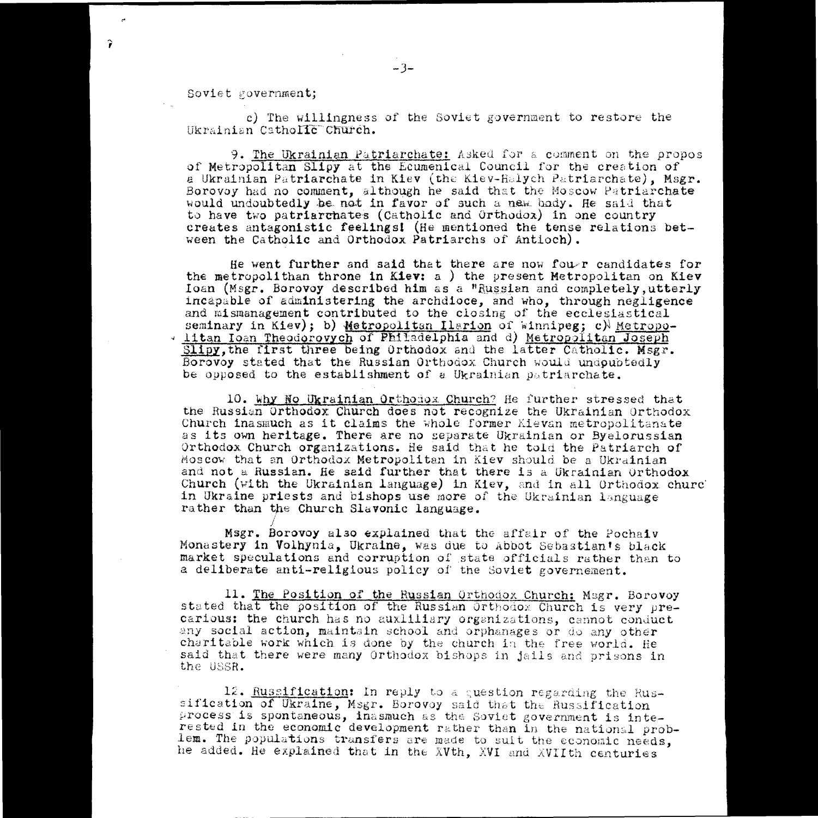Soviet government;

9

c) The willingness of the Soviet government to restore the Ukrainian CathoIIc Church.

9. The Ukrainian Patriarchate: Asked for a comment on the propos of Metropolitan Slipy at the Ecumenical Council for the creation of a Ukrainian Patriarchate in Kiev (the Kiev-Holych Patriarchate), Msgr. Borovoy had no comment, although he said that the Moscow Patriarchate would undoubtedly be not in favor of such a new body. He said that soviet government;<br>
c) The willingness of the Soviet government to restore the<br>
Ukrainian Catholic Church.<br>
9. <u>The Ukrainian Patriarchate:</u> Asked for a comment on the pr<br>
a Ukrainian Hatriarchate in Kiev (the Kiev-Helych to have two patriarchates (Catholic and Orthodox) in one country **creates antagonistic feelings!** (He mentioned the tense relations between the Catholic and Orthodox Patriarchs *of* Antioch).

He went further and said that there are now four candidates for the metropolithan throne in Kiev: a ) the present Metropolitan on Kiev :loan (Msgr. Borovoy **described him** as a "Z4.4r4ian and completely,utterly incapable of administering the archdioce, and who, through negligence and mismanagement contributed to the closing of the ecclesiastical<br>seminary in Kiev); b) Metropolitan Ilarion of Winnipeg; c) Metroposeminary canonic ondica.<br>
The Unraining Patriarchate: Asked for a comment on the profiler propolitan Bilpy at the Ecumenical Council for the creation of<br>
a Ukrainian Patriarchate in Kiev (the Kiev-Helych Patriarchate), Mic Itan loan Theodorovych of Philadelphia and d) Metropolitan Joseph Slipy, the first three being Orthodox and the latter Catholic. Msgr. Borovoy stated that the Russian Orthodox Church would undoubtedly be opposed to the establishment of a Ukrainian patriarchate.

10. Why No Ukrainian Orthonox Church? He further stressed that the Russian Orthodox Church does not recognize the Ukrainian Orthodox Church inasmuch as it claims the whole former Kievan metropolitanate as its own heritage. There are no separate Ukrainian or Byelorussian Orthodox Church organizations. He said that he told the Patriarch of moscos, that an Orthodox Metropolitan in Kiev should be a Ukrainian and not a Russian. He said further that there is a Ukrainian orthodox Church (with the Ukrainian language) in Kiev, and in all Orthodox churc in Ukraine priests and bishops use more of the Ukrainian language rather than the Church Slavonic language.

Msgr. Borovoy a130 explained that the affair of the Pochaiv Monastery in Volhynia, Ukraine, was due to Abbot Sebastian's black market speculations and corruption of state officials rather than to a deliberate anti-religious policy of the Soviet governement.

11. The Position of the Russian Orthodox Church: Msgr. Borovoy stated that the position of the Russian Orthodox Church is very precarious: the church has no auxiliiary organizations, cannot conduct any social action, maintain school and orphanages or do any other charitable work which is done by the church in the free world. He said that there were many Orthodox bishops in jails and prisons in the USSR.

12. Russification: In reply to a question regarding the Russification of Ukraine, Msgr. Borovoy said that the Russification process is spontaneous, inasmuch as the Soviet government is interested in the economic development rather than in the national problem. The populations transfers are made to suit the economic needs, he added. He explained that in the XVth, XVI and XVIIth centuries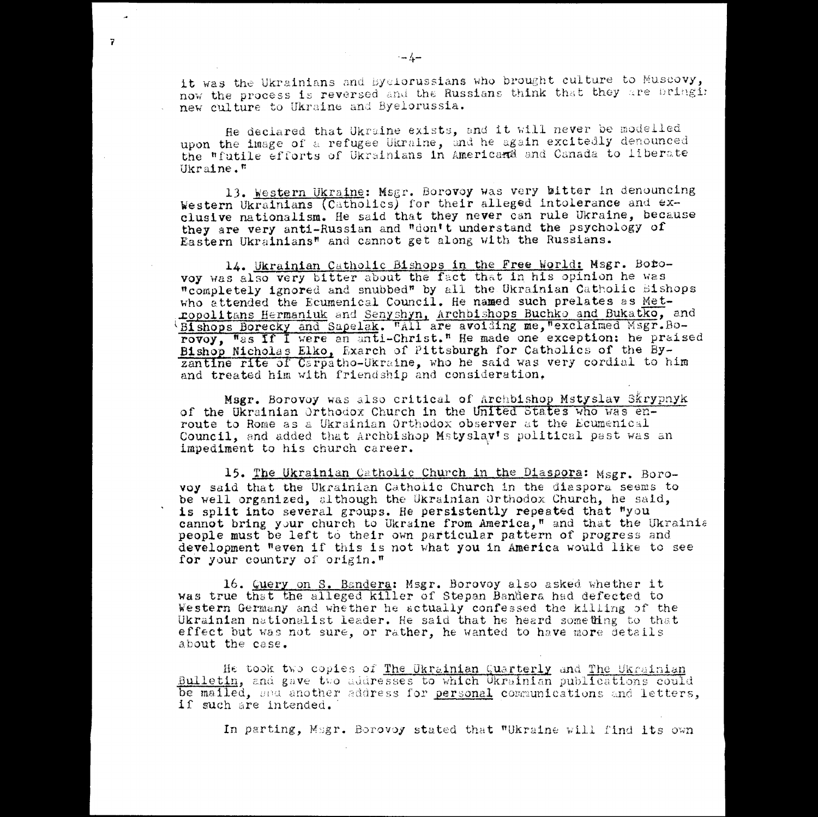it was the Ukrainians and Byelorussians who brought culture to Muscovy, now the process is reversed and the Russians think that they are pringi: new culture to Ukraine and Byelorussia.

He declared that Ukraine exists, and it will never be modelled upon the image of a refugee Ukraine, and he again excitedly denounced the "futile efforts of Ukrainians in Americana and Canada to liberate Ukraine."

13. Western Ukraine: Msgr. Borovoy was very bitter in denouncing Western Ukrainians (Catholics) for their alleged intolerance and exclusive nationalism. He said that they never can rule Ukraine, because they are very anti-Russian and "don't understand the psychology of Eastern Ukrainians" and cannot get along with the Russians.

14. Ukrainian Catholic Bishops in the Free World: Msgr. Bobovoy was also very bitter about the fact that in his opinion he was "completely ignored and snubbed" by all the Ukrainian Catholic bishops who attended the Ecumenical Council. He named such prelates as Metxopolitans Hermaniuk and Senyshyn. Archbishops Buchko and Bukatko, and Bishops Borecky and Sapelak. Wall are avoiding me, "exclaimed Msgr.Borovoy, Was If I were an anti-Christ." He made one exception: he praised Bishop Nicholas Elko, Exarch of Pittsburgh for Catholics of the Byzantine rite of Carpatho-Ukraine, who he said was very cordial to him and treated him with friendship and consideration,

Msgr. Borovoy was also critical of Archbishop Mstyslav Skrypnyk of the Ukrainian Orthodox Church in the United States who was enroute to Rome as a Ukrainian Orthodox observer at the Ecumenical Council, and added that Archbishop Mstyslav's political past was an impediment to his church career.

**15. The** Ukrainian Catholic Church in the Diaspora: Msgr. Borovoy said that the Ukrainian Catholic Church in the diespora seems to be well organized, although the Ukrainian Orthodox Church, he said, **is split into several** groups. He **persistently repeated that** "you cannot bring your church to Ukraine from America," and that the Ukrainia people must be left to their own particular pattern of progress and development "even if this is not what you in America would like to see for your country of origin."

16. Query on S. Bandera: Msgr. Borovoy also asked whether it was true that the alleged killer of Stepan Bandera had defected to Western Gerwany and whether he actually confessed the killing of the Ukrainian nationalist leader. He said that he heard something to that effect but was not sure, or rather, he wanted to have more details about the case. be Well organized, although the ukraina virtuodox Church, he said,<br>
is split into several groups. He persistently repeated that "you<br>
cannot bring your church to Ukraine from America," and that the Ukraini<br>
development "ev

He took two copies of The Ukrainian Quarterly and The Ukrainian Bulletin, and gave two addresses to which Ukrainian publications could be mailed, and another address for personal communications and letters, if such are intended.'

In parting, Magr. Borovoy stated that "Ukraine will find its own

 $\sim 10^{11}$ 

 $\overline{r}$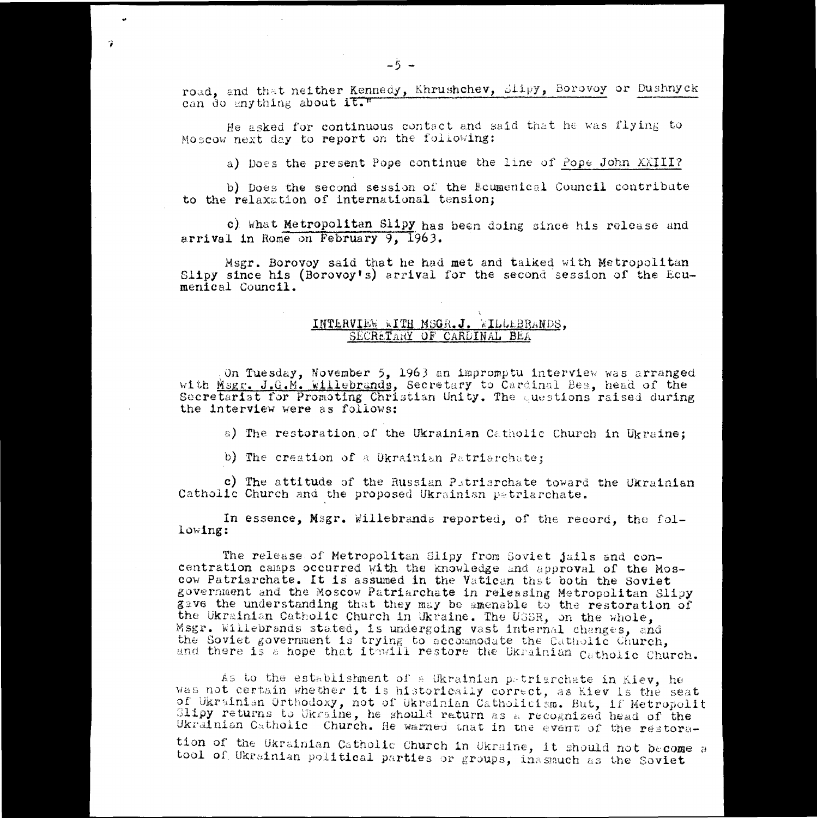road, and that neither Kennedy, Khrushchev, Slipy, Borovoy or Dushnyck can do anything about it."

He asked for continuous contact and said that he was flying to Moscow next day to report on the following:

a) Does the present Pope continue the line of Pope John XXIII?

b) Does the second session of the Ecumenical Council contribute to the relaxation of international tension;

c). What Metropolitan Slipy has been doing since his release and arrival in Rome on February 9, 1963.

Msgr. Borovoy said that he had **met** and talked with Metropolitan Slipy since his (Borovoy's) arrival for the second session of the Ecumenical Council.

## INTERVIEW WITH MSGR.J. WILLLBRANDS, SECRETARY OF CARDINAL BEA

On Tuesday, November 5, 1963 an impromptu interview was arranged with *Msgr.* J.G.M. killebrands, Secretary to Cardinal Bea, head of the Secretariat for Promoting Christian Unity. The questions raised during the interview were as follows:

a) The restoration of the Ukrainian Catholic Church in Ukraine;

b) The creation of a Ukrainian Patriarchate;

c) The attitude of the Russian Patriarchate toward the Ukrainian Catholic Church and the proposed Ukrainian patriarchate.

In essence, Msgr. Willebrands reported, of the record, the following:

The release, of Metropolitan Slipy from Soviet jails and concentration camps occurred with the knowledge and approval of the Moscow Patriarchate. **It is** assumed in the Vatican that both the Soviet government and the Moscow Patriarchate in releasing Metropolitan Slipy gave the understanding that they may be amenable to the restoration of the Ukrainian Catholic Church in Ukraine. The USSR, on the whole, Msgr. Willebrands stated, is undergoing vast internal changes, and the Soviet government is trying to accommodate the Catholic Church, and there is a hope that it will restore the Ukrainian Catholic Church. The release of Metropolitan Slipy from Soviet jails and con-<br>centration camps occurred with the knowledge and approval of the Mos-<br>government and the Moscow Patriarchate in releasing Metropolitan Slipy<br>gave the understandi

As to the establishment of a Ukrainian petriarchate in Kiev, he was not certain whether it is historically correct, as Kiev is the seat of Ukrainian Orthodoxy, not of Ukrainian Catholicism. But, if Metropolit Slipy returns to Ukraine, he should return as a recognized head of the Ukrainian Catholic Church. He warned that in the event of the restora-

tion of the Ukrainian Catholic Church in Ukraine, it should not become a tool of Ukrainian political parties or groups, inasmuch as the Soviet

7